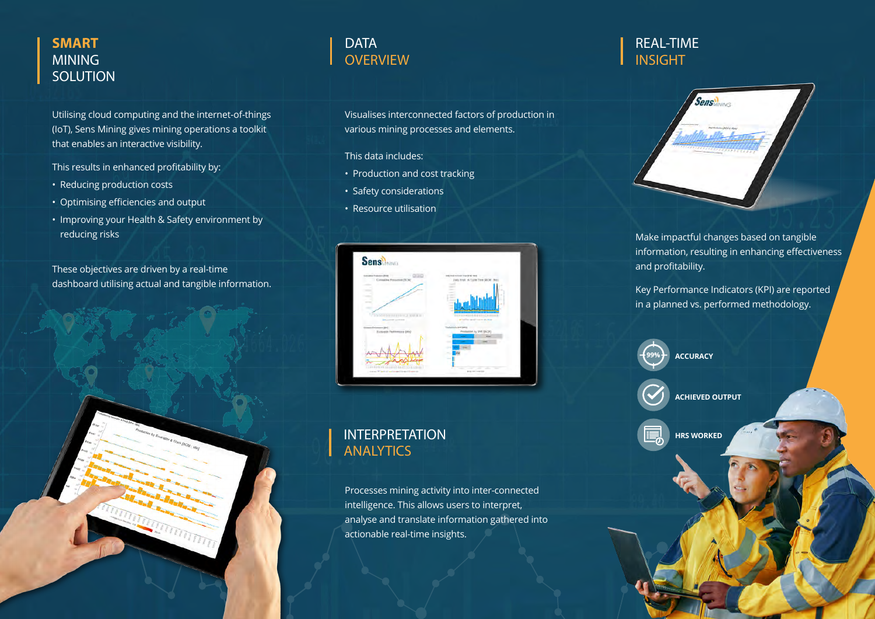### **SMART** MINING **SOLUTION**

Utilising cloud computing and the internet-of-things (IoT), Sens Mining gives mining operations a toolkit that enables an interactive visibility.

This results in enhanced profitability by:

- Reducing production costs
- Optimising efficiencies and output
- Improving your Health & Safety environment by reducing risks

These objectives are driven by a real-time dashboard utilising actual and tangible information.

# **DATA OVERVIEW**

Visualises interconnected factors of production in various mining processes and elements.

- This data includes:
- Production and cost tracking
- Safety considerations
- Resource utilisation



# INTERPRETATION **ANALYTICS**

Processes mining activity into inter-connected intelligence. This allows users to interpret, analyse and translate information gathered into actionable real-time insights.

## REAL-TIME INSIGHT



Make impactful changes based on tangible information, resulting in enhancing effectiveness and profitability.

Key Performance Indicators (KPI) are reported in a planned vs. performed methodology.



**HRS WORKED**